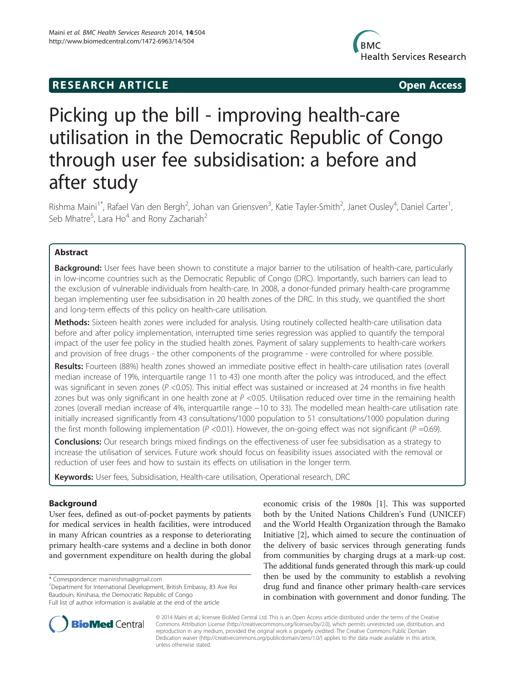## **RESEARCH ARTICLE Example 2014 12:30 The SEAR CHA RTICLE**



# Picking up the bill - improving health-care utilisation in the Democratic Republic of Congo through user fee subsidisation: a before and after study

Rishma Maini<sup>1\*</sup>, Rafael Van den Bergh<sup>2</sup>, Johan van Griensven<sup>3</sup>, Katie Tayler-Smith<sup>2</sup>, Janet Ousley<sup>4</sup>, Daniel Carter<sup>1</sup> , Seb Mhatre<sup>5</sup>, Lara Ho<sup>4</sup> and Rony Zachariah<sup>2</sup>

## Abstract

Background: User fees have been shown to constitute a major barrier to the utilisation of health-care, particularly in low-income countries such as the Democratic Republic of Congo (DRC). Importantly, such barriers can lead to the exclusion of vulnerable individuals from health-care. In 2008, a donor-funded primary health-care programme began implementing user fee subsidisation in 20 health zones of the DRC. In this study, we quantified the short and long-term effects of this policy on health-care utilisation.

Methods: Sixteen health zones were included for analysis. Using routinely collected health-care utilisation data before and after policy implementation, interrupted time series regression was applied to quantify the temporal impact of the user fee policy in the studied health zones. Payment of salary supplements to health-care workers and provision of free drugs - the other components of the programme - were controlled for where possible.

Results: Fourteen (88%) health zones showed an immediate positive effect in health-care utilisation rates (overall median increase of 19%, interquartile range 11 to 43) one month after the policy was introduced, and the effect was significant in seven zones ( $P < 0.05$ ). This initial effect was sustained or increased at 24 months in five health zones but was only significant in one health zone at  $P < 0.05$ . Utilisation reduced over time in the remaining health zones (overall median increase of 4%, interquartile range −10 to 33). The modelled mean health-care utilisation rate initially increased significantly from 43 consultations/1000 population to 51 consultations/1000 population during the first month following implementation ( $P < 0.01$ ). However, the on-going effect was not significant ( $P = 0.69$ ).

Conclusions: Our research brings mixed findings on the effectiveness of user fee subsidisation as a strategy to increase the utilisation of services. Future work should focus on feasibility issues associated with the removal or reduction of user fees and how to sustain its effects on utilisation in the longer term.

Keywords: User fees, Subsidisation, Health-care utilisation, Operational research, DRC

## Background

User fees, defined as out-of-pocket payments by patients for medical services in health facilities, were introduced in many African countries as a response to deteriorating primary health-care systems and a decline in both donor and government expenditure on health during the global

\* Correspondence: [mainirishma@gmail.com](mailto:mainirishma@gmail.com) <sup>1</sup>

<sup>1</sup>Department for International Development, British Embassy, 83 Ave Roi Baudouin, Kinshasa, the Democratic Republic of Congo

economic crisis of the 1980s [\[1](#page-9-0)]. This was supported both by the United Nations Children's Fund (UNICEF) and the World Health Organization through the Bamako Initiative [\[2](#page-9-0)], which aimed to secure the continuation of the delivery of basic services through generating funds from communities by charging drugs at a mark-up cost. The additional funds generated through this mark-up could then be used by the community to establish a revolving drug fund and finance other primary health-care services in combination with government and donor funding. The



© 2014 Maini et al.; licensee BioMed Central Ltd. This is an Open Access article distributed under the terms of the Creative Commons Attribution License [\(http://creativecommons.org/licenses/by/2.0\)](http://creativecommons.org/licenses/by/2.0), which permits unrestricted use, distribution, and reproduction in any medium, provided the original work is properly credited. The Creative Commons Public Domain Dedication waiver [\(http://creativecommons.org/publicdomain/zero/1.0/](http://creativecommons.org/publicdomain/zero/1.0/)) applies to the data made available in this article, unless otherwise stated.

Full list of author information is available at the end of the article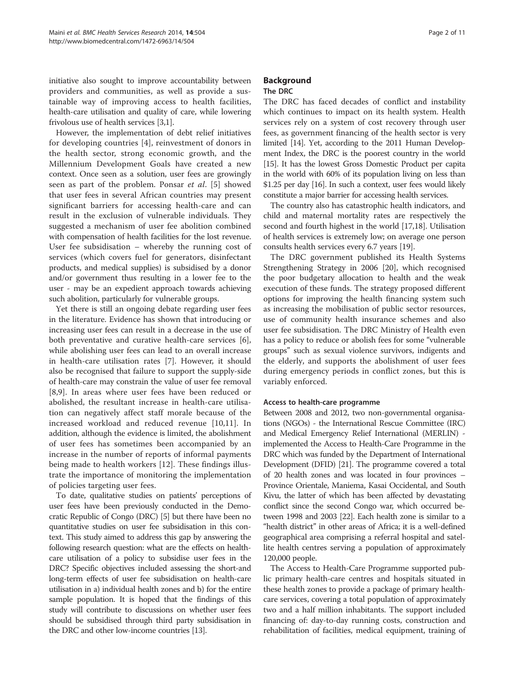initiative also sought to improve accountability between providers and communities, as well as provide a sustainable way of improving access to health facilities, health-care utilisation and quality of care, while lowering frivolous use of health services [[3,1](#page-9-0)].

However, the implementation of debt relief initiatives for developing countries [[4\]](#page-9-0), reinvestment of donors in the health sector, strong economic growth, and the Millennium Development Goals have created a new context. Once seen as a solution, user fees are growingly seen as part of the problem. Ponsar et al. [[5\]](#page-9-0) showed that user fees in several African countries may present significant barriers for accessing health-care and can result in the exclusion of vulnerable individuals. They suggested a mechanism of user fee abolition combined with compensation of health facilities for the lost revenue. User fee subsidisation – whereby the running cost of services (which covers fuel for generators, disinfectant products, and medical supplies) is subsidised by a donor and/or government thus resulting in a lower fee to the user - may be an expedient approach towards achieving such abolition, particularly for vulnerable groups.

Yet there is still an ongoing debate regarding user fees in the literature. Evidence has shown that introducing or increasing user fees can result in a decrease in the use of both preventative and curative health-care services [\[6](#page-9-0)], while abolishing user fees can lead to an overall increase in health-care utilisation rates [[7\]](#page-9-0). However, it should also be recognised that failure to support the supply-side of health-care may constrain the value of user fee removal [[8,9](#page-9-0)]. In areas where user fees have been reduced or abolished, the resultant increase in health-care utilisation can negatively affect staff morale because of the increased workload and reduced revenue [\[10,11](#page-9-0)]. In addition, although the evidence is limited, the abolishment of user fees has sometimes been accompanied by an increase in the number of reports of informal payments being made to health workers [\[12](#page-9-0)]. These findings illustrate the importance of monitoring the implementation of policies targeting user fees.

To date, qualitative studies on patients' perceptions of user fees have been previously conducted in the Democratic Republic of Congo (DRC) [[5](#page-9-0)] but there have been no quantitative studies on user fee subsidisation in this context. This study aimed to address this gap by answering the following research question: what are the effects on healthcare utilisation of a policy to subsidise user fees in the DRC? Specific objectives included assessing the short-and long-term effects of user fee subsidisation on health-care utilisation in a) individual health zones and b) for the entire sample population. It is hoped that the findings of this study will contribute to discussions on whether user fees should be subsidised through third party subsidisation in the DRC and other low-income countries [\[13](#page-9-0)].

## Background

## The DRC

The DRC has faced decades of conflict and instability which continues to impact on its health system. Health services rely on a system of cost recovery through user fees, as government financing of the health sector is very limited [\[14](#page-9-0)]. Yet, according to the 2011 Human Development Index, the DRC is the poorest country in the world [[15](#page-9-0)]. It has the lowest Gross Domestic Product per capita in the world with 60% of its population living on less than \$1.25 per day [\[16\]](#page-10-0). In such a context, user fees would likely constitute a major barrier for accessing health services.

The country also has catastrophic health indicators, and child and maternal mortality rates are respectively the second and fourth highest in the world [[17,18](#page-10-0)]. Utilisation of health services is extremely low; on average one person consults health services every 6.7 years [\[19\]](#page-10-0).

The DRC government published its Health Systems Strengthening Strategy in 2006 [\[20](#page-10-0)], which recognised the poor budgetary allocation to health and the weak execution of these funds. The strategy proposed different options for improving the health financing system such as increasing the mobilisation of public sector resources, use of community health insurance schemes and also user fee subsidisation. The DRC Ministry of Health even has a policy to reduce or abolish fees for some "vulnerable groups" such as sexual violence survivors, indigents and the elderly, and supports the abolishment of user fees during emergency periods in conflict zones, but this is variably enforced.

#### Access to health-care programme

Between 2008 and 2012, two non-governmental organisations (NGOs) - the International Rescue Committee (IRC) and Medical Emergency Relief International (MERLIN) implemented the Access to Health-Care Programme in the DRC which was funded by the Department of International Development (DFID) [[21\]](#page-10-0). The programme covered a total of 20 health zones and was located in four provinces – Province Orientale, Maniema, Kasai Occidental, and South Kivu, the latter of which has been affected by devastating conflict since the second Congo war, which occurred between 1998 and 2003 [\[22](#page-10-0)]. Each health zone is similar to a "health district" in other areas of Africa; it is a well-defined geographical area comprising a referral hospital and satellite health centres serving a population of approximately 120,000 people.

The Access to Health-Care Programme supported public primary health-care centres and hospitals situated in these health zones to provide a package of primary healthcare services, covering a total population of approximately two and a half million inhabitants. The support included financing of: day-to-day running costs, construction and rehabilitation of facilities, medical equipment, training of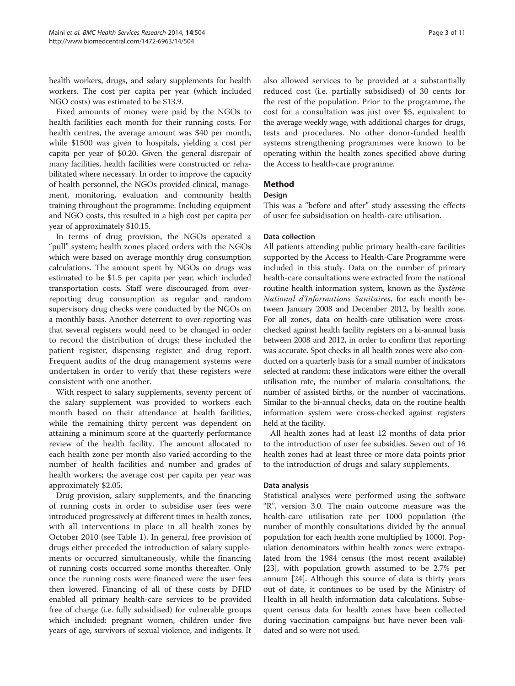health workers, drugs, and salary supplements for health workers. The cost per capita per year (which included NGO costs) was estimated to be \$13.9.

Fixed amounts of money were paid by the NGOs to health facilities each month for their running costs. For health centres, the average amount was \$40 per month, while \$1500 was given to hospitals, yielding a cost per capita per year of \$0.20. Given the general disrepair of many facilities, health facilities were constructed or rehabilitated where necessary. In order to improve the capacity of health personnel, the NGOs provided clinical, management, monitoring, evaluation and community health training throughout the programme. Including equipment and NGO costs, this resulted in a high cost per capita per year of approximately \$10.15.

In terms of drug provision, the NGOs operated a "pull" system; health zones placed orders with the NGOs which were based on average monthly drug consumption calculations. The amount spent by NGOs on drugs was estimated to be \$1.5 per capita per year, which included transportation costs. Staff were discouraged from overreporting drug consumption as regular and random supervisory drug checks were conducted by the NGOs on a monthly basis. Another deterrent to over-reporting was that several registers would need to be changed in order to record the distribution of drugs; these included the patient register, dispensing register and drug report. Frequent audits of the drug management systems were undertaken in order to verify that these registers were consistent with one another.

With respect to salary supplements, seventy percent of the salary supplement was provided to workers each month based on their attendance at health facilities, while the remaining thirty percent was dependent on attaining a minimum score at the quarterly performance review of the health facility. The amount allocated to each health zone per month also varied according to the number of health facilities and number and grades of health workers; the average cost per capita per year was approximately \$2.05.

Drug provision, salary supplements, and the financing of running costs in order to subsidise user fees were introduced progressively at different times in health zones, with all interventions in place in all health zones by October 2010 (see Table [1](#page-3-0)). In general, free provision of drugs either preceded the introduction of salary supplements or occurred simultaneously, while the financing of running costs occurred some months thereafter. Only once the running costs were financed were the user fees then lowered. Financing of all of these costs by DFID enabled all primary health-care services to be provided free of charge (i.e. fully subsidised) for vulnerable groups which included: pregnant women, children under five years of age, survivors of sexual violence, and indigents. It

also allowed services to be provided at a substantially reduced cost (i.e. partially subsidised) of 30 cents for the rest of the population. Prior to the programme, the cost for a consultation was just over \$5, equivalent to the average weekly wage, with additional charges for drugs, tests and procedures. No other donor-funded health systems strengthening programmes were known to be operating within the health zones specified above during the Access to health-care programme.

## Method

## **Design**

This was a "before and after" study assessing the effects of user fee subsidisation on health-care utilisation.

#### Data collection

All patients attending public primary health-care facilities supported by the Access to Health-Care Programme were included in this study. Data on the number of primary health-care consultations were extracted from the national routine health information system, known as the Système National d'Informations Sanitaires, for each month between January 2008 and December 2012, by health zone. For all zones, data on health-care utilisation were crosschecked against health facility registers on a bi-annual basis between 2008 and 2012, in order to confirm that reporting was accurate. Spot checks in all health zones were also conducted on a quarterly basis for a small number of indicators selected at random; these indicators were either the overall utilisation rate, the number of malaria consultations, the number of assisted births, or the number of vaccinations. Similar to the bi-annual checks, data on the routine health information system were cross-checked against registers held at the facility.

All health zones had at least 12 months of data prior to the introduction of user fee subsidies. Seven out of 16 health zones had at least three or more data points prior to the introduction of drugs and salary supplements.

## Data analysis

Statistical analyses were performed using the software "R", version 3.0. The main outcome measure was the health-care utilisation rate per 1000 population (the number of monthly consultations divided by the annual population for each health zone multiplied by 1000). Population denominators within health zones were extrapolated from the 1984 census (the most recent available) [[23](#page-10-0)], with population growth assumed to be 2.7% per annum [\[24\]](#page-10-0). Although this source of data is thirty years out of date, it continues to be used by the Ministry of Health in all health information data calculations. Subsequent census data for health zones have been collected during vaccination campaigns but have never been validated and so were not used.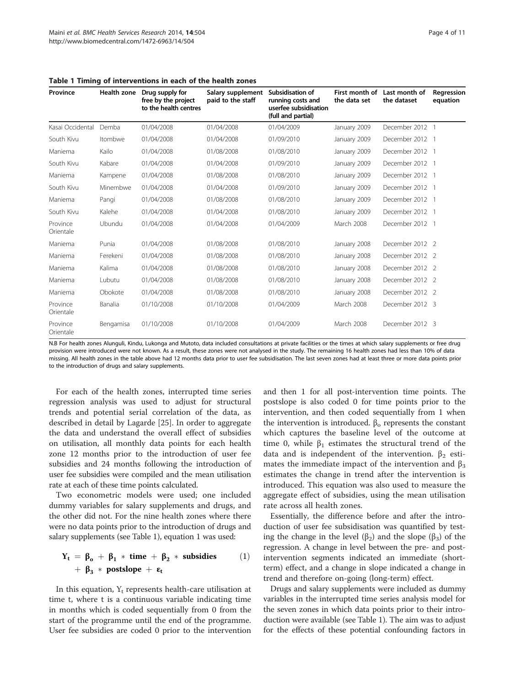| Province              | <b>Health zone</b> | Drug supply for<br>free by the project<br>to the health centres | Salary supplement<br>paid to the staff | Subsidisation of<br>running costs and<br>userfee subsidisation<br>(full and partial) | the data set | First month of Last month of<br>the dataset | Regression<br>equation |
|-----------------------|--------------------|-----------------------------------------------------------------|----------------------------------------|--------------------------------------------------------------------------------------|--------------|---------------------------------------------|------------------------|
| Kasai Occidental      | Demba              | 01/04/2008                                                      | 01/04/2008                             | 01/04/2009                                                                           | January 2009 | December 2012 1                             |                        |
| South Kivu            | Itombwe            | 01/04/2008                                                      | 01/04/2008                             | 01/09/2010                                                                           | January 2009 | December 2012 1                             |                        |
| Maniema               | Kailo              | 01/04/2008                                                      | 01/08/2008                             | 01/08/2010                                                                           | January 2009 | December 2012 1                             |                        |
| South Kivu            | Kabare             | 01/04/2008                                                      | 01/04/2008                             | 01/09/2010                                                                           | January 2009 | December 2012 1                             |                        |
| Maniema               | Kampene            | 01/04/2008                                                      | 01/08/2008                             | 01/08/2010                                                                           | January 2009 | December 2012 1                             |                        |
| South Kivu            | Minembwe           | 01/04/2008                                                      | 01/04/2008                             | 01/09/2010                                                                           | January 2009 | December 2012 1                             |                        |
| Maniema               | Pangi              | 01/04/2008                                                      | 01/08/2008                             | 01/08/2010                                                                           | January 2009 | December 2012 1                             |                        |
| South Kivu            | Kalehe             | 01/04/2008                                                      | 01/04/2008                             | 01/08/2010                                                                           | January 2009 | December 2012 1                             |                        |
| Province<br>Orientale | Ubundu             | 01/04/2008                                                      | 01/04/2008                             | 01/04/2009                                                                           | March 2008   | December 2012 1                             |                        |
| Maniema               | Punia              | 01/04/2008                                                      | 01/08/2008                             | 01/08/2010                                                                           | January 2008 | December 2012 <sub>2</sub>                  |                        |
| Maniema               | Ferekeni           | 01/04/2008                                                      | 01/08/2008                             | 01/08/2010                                                                           | January 2008 | December 2012 <sub>2</sub>                  |                        |
| Maniema               | Kalima             | 01/04/2008                                                      | 01/08/2008                             | 01/08/2010                                                                           | January 2008 | December 2012 <sub>2</sub>                  |                        |
| Maniema               | Lubutu             | 01/04/2008                                                      | 01/08/2008                             | 01/08/2010                                                                           | January 2008 | December 2012 2                             |                        |
| Maniema               | Obokote            | 01/04/2008                                                      | 01/08/2008                             | 01/08/2010                                                                           | January 2008 | December 2012 <sub>2</sub>                  |                        |
| Province<br>Orientale | Banalia            | 01/10/2008                                                      | 01/10/2008                             | 01/04/2009                                                                           | March 2008   | December 2012 3                             |                        |
| Province<br>Orientale | Bengamisa          | 01/10/2008                                                      | 01/10/2008                             | 01/04/2009                                                                           | March 2008   | December 2012 3                             |                        |

<span id="page-3-0"></span>Table 1 Timing of interventions in each of the health zones

N.B For health zones Alunguli, Kindu, Lukonga and Mutoto, data included consultations at private facilities or the times at which salary supplements or free drug provision were introduced were not known. As a result, these zones were not analysed in the study. The remaining 16 health zones had less than 10% of data missing. All health zones in the table above had 12 months data prior to user fee subsidisation. The last seven zones had at least three or more data points prior to the introduction of drugs and salary supplements.

For each of the health zones, interrupted time series regression analysis was used to adjust for structural trends and potential serial correlation of the data, as described in detail by Lagarde [[25\]](#page-10-0). In order to aggregate the data and understand the overall effect of subsidies on utilisation, all monthly data points for each health zone 12 months prior to the introduction of user fee subsidies and 24 months following the introduction of user fee subsidies were compiled and the mean utilisation rate at each of these time points calculated.

Two econometric models were used; one included dummy variables for salary supplements and drugs, and the other did not. For the nine health zones where there were no data points prior to the introduction of drugs and salary supplements (see Table 1), equation 1 was used:

$$
Y_t = \beta_0 + \beta_1 * time + \beta_2 * subsidies
$$
  
+ 
$$
\beta_3 * postslope + \epsilon_t
$$
 (1)

In this equation,  $Y_t$  represents health-care utilisation at time t, where t is a continuous variable indicating time in months which is coded sequentially from 0 from the start of the programme until the end of the programme. User fee subsidies are coded 0 prior to the intervention

and then 1 for all post-intervention time points. The postslope is also coded 0 for time points prior to the intervention, and then coded sequentially from 1 when the intervention is introduced.  $β_0$  represents the constant which captures the baseline level of the outcome at time 0, while  $β_1$  estimates the structural trend of the data and is independent of the intervention.  $β_2$  estimates the immediate impact of the intervention and  $\beta_3$ estimates the change in trend after the intervention is introduced. This equation was also used to measure the aggregate effect of subsidies, using the mean utilisation rate across all health zones.

Essentially, the difference before and after the introduction of user fee subsidisation was quantified by testing the change in the level  $(β<sub>2</sub>)$  and the slope  $(β<sub>3</sub>)$  of the regression. A change in level between the pre- and postintervention segments indicated an immediate (shortterm) effect, and a change in slope indicated a change in trend and therefore on-going (long-term) effect.

Drugs and salary supplements were included as dummy variables in the interrupted time series analysis model for the seven zones in which data points prior to their introduction were available (see Table 1). The aim was to adjust for the effects of these potential confounding factors in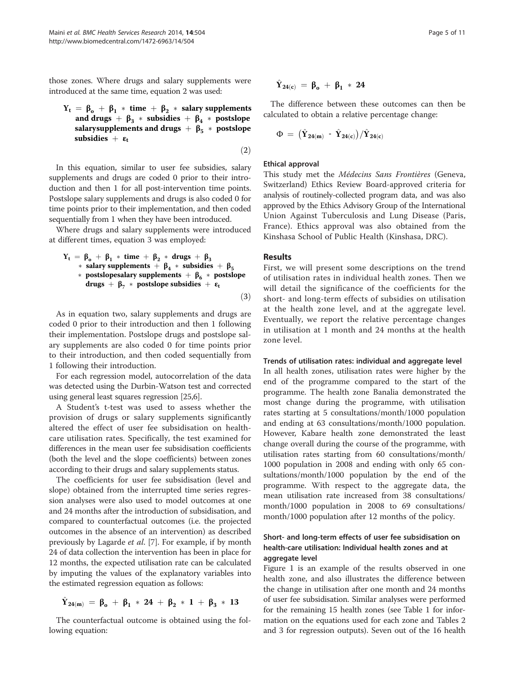<span id="page-4-0"></span>those zones. Where drugs and salary supplements were introduced at the same time, equation 2 was used:

$$
Y_t = \beta_0 + \beta_1 * time + \beta_2 * salary supplementsand drugs + \beta_3 * subsidies + \beta_4 * postslope salarysupplements and drugs + \beta_5 * postslope subsidies + \epsilon_t
$$

In this equation, similar to user fee subsidies, salary supplements and drugs are coded 0 prior to their introduction and then 1 for all post-intervention time points. Postslope salary supplements and drugs is also coded 0 for time points prior to their implementation, and then coded sequentially from 1 when they have been introduced.

Where drugs and salary supplements were introduced at different times, equation 3 was employed:

$$
\begin{array}{l} Y_t\,=\,\beta_o\,+\,\beta_1\,\ast\,\,time\,+\,\beta_2\,\ast\,\,drugs\,+\,\beta_3\\ \ast\,\,salary\,supplements\,\,+\,\,\beta_4\,\ast\,\,subsides\,\,+\,\,\beta_5\\ \ast\,\,postslopesalary\,supplements\,\,+\,\,\beta_6\,\ast\,\,postslope\\ \mathbf{drugs}\,\,+\,\,\beta_7\,\ast\,\,postslope\,\,subsides\,\,+\,\,\epsilon_t \end{array}
$$

 $(3)$ 

 $(2)$ 

As in equation two, salary supplements and drugs are coded 0 prior to their introduction and then 1 following their implementation. Postslope drugs and postslope salary supplements are also coded 0 for time points prior to their introduction, and then coded sequentially from 1 following their introduction.

For each regression model, autocorrelation of the data was detected using the Durbin-Watson test and corrected using general least squares regression [[25](#page-10-0),[6](#page-9-0)].

A Student's t-test was used to assess whether the provision of drugs or salary supplements significantly altered the effect of user fee subsidisation on healthcare utilisation rates. Specifically, the test examined for differences in the mean user fee subsidisation coefficients (both the level and the slope coefficients) between zones according to their drugs and salary supplements status.

The coefficients for user fee subsidisation (level and slope) obtained from the interrupted time series regression analyses were also used to model outcomes at one and 24 months after the introduction of subsidisation, and compared to counterfactual outcomes (i.e. the projected outcomes in the absence of an intervention) as described previously by Lagarde et al. [\[7](#page-9-0)]. For example, if by month 24 of data collection the intervention has been in place for 12 months, the expected utilisation rate can be calculated by imputing the values of the explanatory variables into the estimated regression equation as follows:

$$
\hat{Y}_{24(m)}\,=\,\beta_o\,+\,\beta_1\,*\,24\,+\,\beta_2\,*\,1\,+\,\beta_3\,*\,13
$$

The counterfactual outcome is obtained using the following equation:

 $\hat{Y}_{24(c)} = \beta_o + \beta_1 * 24$ 

The difference between these outcomes can then be calculated to obtain a relative percentage change:

$$
\Phi \ = \ \bigl(\hat{Y}_{24(m)} \ - \ \hat{Y}_{24(c)} \bigr) / \hat{Y}_{24(c)}
$$

#### Ethical approval

This study met the Médecins Sans Frontières (Geneva, Switzerland) Ethics Review Board-approved criteria for analysis of routinely-collected program data, and was also approved by the Ethics Advisory Group of the International Union Against Tuberculosis and Lung Disease (Paris, France). Ethics approval was also obtained from the Kinshasa School of Public Health (Kinshasa, DRC).

#### Results

First, we will present some descriptions on the trend of utilisation rates in individual health zones. Then we will detail the significance of the coefficients for the short- and long-term effects of subsidies on utilisation at the health zone level, and at the aggregate level. Eventually, we report the relative percentage changes in utilisation at 1 month and 24 months at the health zone level.

#### Trends of utilisation rates: individual and aggregate level

In all health zones, utilisation rates were higher by the end of the programme compared to the start of the programme. The health zone Banalia demonstrated the most change during the programme, with utilisation rates starting at 5 consultations/month/1000 population and ending at 63 consultations/month/1000 population. However, Kabare health zone demonstrated the least change overall during the course of the programme, with utilisation rates starting from 60 consultations/month/ 1000 population in 2008 and ending with only 65 consultations/month/1000 population by the end of the programme. With respect to the aggregate data, the mean utilisation rate increased from 38 consultations/ month/1000 population in 2008 to 69 consultations/ month/1000 population after 12 months of the policy.

## Short- and long-term effects of user fee subsidisation on health-care utilisation: Individual health zones and at aggregate level

Figure [1](#page-5-0) is an example of the results observed in one health zone, and also illustrates the difference between the change in utilisation after one month and 24 months of user fee subsidisation. Similar analyses were performed for the remaining 15 health zones (see Table [1](#page-3-0) for information on the equations used for each zone and Tables [2](#page-6-0) and [3](#page-7-0) for regression outputs). Seven out of the 16 health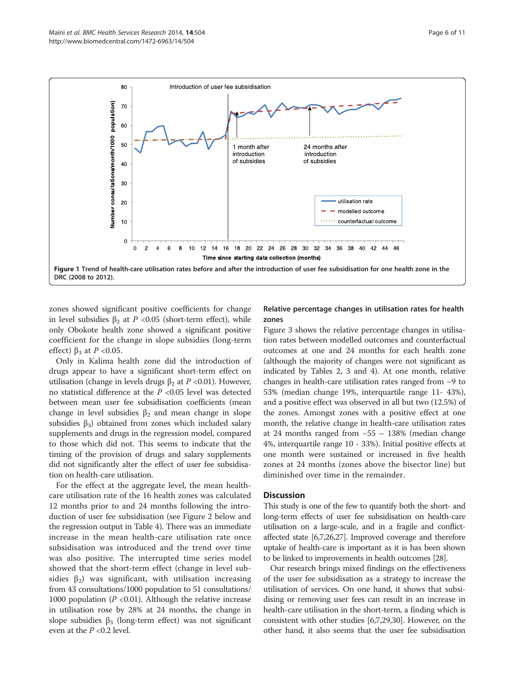<span id="page-5-0"></span>

zones showed significant positive coefficients for change in level subsidies  $β_2$  at  $P < 0.05$  (short-term effect), while only Obokote health zone showed a significant positive coefficient for the change in slope subsidies (long-term effect)  $\beta_3$  at P <0.05.

Only in Kalima health zone did the introduction of drugs appear to have a significant short-term effect on utilisation (change in levels drugs  $\beta_2$  at P <0.01). However, no statistical difference at the  $P$  <0.05 level was detected between mean user fee subsidisation coefficients (mean change in level subsidies  $β_2$  and mean change in slope subsidies  $\beta_3$ ) obtained from zones which included salary supplements and drugs in the regression model, compared to those which did not. This seems to indicate that the timing of the provision of drugs and salary supplements did not significantly alter the effect of user fee subsidisation on health-care utilisation.

For the effect at the aggregate level, the mean healthcare utilisation rate of the 16 health zones was calculated 12 months prior to and 24 months following the introduction of user fee subsidisation (see Figure [2](#page-7-0) below and the regression output in Table [4](#page-8-0)). There was an immediate increase in the mean health-care utilisation rate once subsidisation was introduced and the trend over time was also positive. The interrupted time series model showed that the short-term effect (change in level subsidies  $\beta_2$ ) was significant, with utilisation increasing from 43 consultations/1000 population to 51 consultations/ 1000 population ( $P < 0.01$ ). Although the relative increase in utilisation rose by 28% at 24 months, the change in slope subsidies  $\beta_3$  (long-term effect) was not significant even at the  $P < 0.2$  level.

## Relative percentage changes in utilisation rates for health zones

Figure [3](#page-8-0) shows the relative percentage changes in utilisation rates between modelled outcomes and counterfactual outcomes at one and 24 months for each health zone (although the majority of changes were not significant as indicated by Tables [2,](#page-6-0) [3](#page-7-0) and [4](#page-8-0)). At one month, relative changes in health-care utilisation rates ranged from −9 to 53% (median change 19%, interquartile range 11- 43%), and a positive effect was observed in all but two (12.5%) of the zones. Amongst zones with a positive effect at one month, the relative change in health-care utilisation rates at 24 months ranged from −55 – 138% (median change 4%, interquartile range 10 - 33%). Initial positive effects at one month were sustained or increased in five health zones at 24 months (zones above the bisector line) but diminished over time in the remainder.

#### **Discussion**

This study is one of the few to quantify both the short- and long-term effects of user fee subsidisation on health-care utilisation on a large-scale, and in a fragile and conflictaffected state [\[6,7](#page-9-0)[,26,27](#page-10-0)]. Improved coverage and therefore uptake of health-care is important as it is has been shown to be linked to improvements in health outcomes [[28](#page-10-0)].

Our research brings mixed findings on the effectiveness of the user fee subsidisation as a strategy to increase the utilisation of services. On one hand, it shows that subsidising or removing user fees can result in an increase in health-care utilisation in the short-term, a finding which is consistent with other studies [[6,7,](#page-9-0)[29,30](#page-10-0)]. However, on the other hand, it also seems that the user fee subsidisation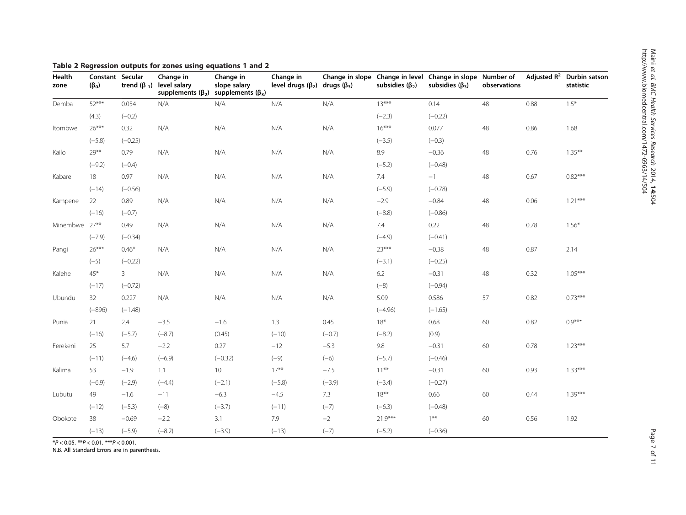| Health<br>zone | Constant Secular<br>$(\beta_0)$ | trend $(\beta_1)$ | Change in<br>level salary<br>supplements $(\beta_2)$ | Change in<br>slope salary<br>supplements ( $\beta_3$ ) | Change in<br>level drugs $(\beta_2)$ | drugs $(\beta_3)$ | subsidies $(\beta_2)$ | Change in slope Change in level Change in slope Number of<br>subsidies $(\beta_3)$ | observations |      | Adjusted $R^2$ Durbin satson<br>statistic |
|----------------|---------------------------------|-------------------|------------------------------------------------------|--------------------------------------------------------|--------------------------------------|-------------------|-----------------------|------------------------------------------------------------------------------------|--------------|------|-------------------------------------------|
| Demba          | $52***$                         | 0.054             | N/A                                                  | N/A                                                    | N/A                                  | N/A               | $13***$               | 0.14                                                                               | 48           | 0.88 | $1.5*$                                    |
|                | (4.3)                           | $(-0.2)$          |                                                      |                                                        |                                      |                   | $(-2.3)$              | $(-0.22)$                                                                          |              |      |                                           |
| Itombwe        | $26***$                         | 0.32              | N/A                                                  | N/A                                                    | N/A                                  | N/A               | $16***$               | 0.077                                                                              | 48           | 0.86 | 1.68                                      |
|                | $(-5.8)$                        | $(-0.25)$         |                                                      |                                                        |                                      |                   | $(-3.5)$              | $(-0.3)$                                                                           |              |      |                                           |
| Kailo          | $29***$                         | 0.79              | N/A                                                  | N/A                                                    | N/A                                  | N/A               | 8.9                   | $-0.36$                                                                            | 48           | 0.76 | $1.35***$                                 |
|                | $(-9.2)$                        | $(-0.4)$          |                                                      |                                                        |                                      |                   | $(-5.2)$              | $(-0.48)$                                                                          |              |      |                                           |
| Kabare         | 18                              | 0.97              | N/A                                                  | N/A                                                    | N/A                                  | N/A               | $7.4\,$               | $-1$                                                                               | 48           | 0.67 | $0.82***$                                 |
|                | $(-14)$                         | $(-0.56)$         |                                                      |                                                        |                                      |                   | $(-5.9)$              | $(-0.78)$                                                                          |              |      |                                           |
| Kampene        | 22                              | 0.89              | N/A                                                  | N/A                                                    | N/A                                  | N/A               | $-2.9$                | $-0.84$                                                                            | 48           | 0.06 | $1.21***$                                 |
|                | $(-16)$                         | $(-0.7)$          |                                                      |                                                        |                                      |                   | $(-8.8)$              | $(-0.86)$                                                                          |              |      |                                           |
| Minembwe 27**  |                                 | 0.49              | N/A                                                  | N/A                                                    | N/A                                  | N/A               | 7.4                   | 0.22                                                                               | 48           | 0.78 | $1.56*$                                   |
|                | $(-7.9)$                        | $(-0.34)$         |                                                      |                                                        |                                      |                   | $(-4.9)$              | $(-0.41)$                                                                          |              |      |                                           |
| Pangi          | $26***$                         | $0.46*$           | N/A                                                  | N/A                                                    | N/A                                  | N/A               | $23***$               | $-0.38$                                                                            | 48           | 0.87 | 2.14                                      |
|                | $(-5)$                          | $(-0.22)$         |                                                      |                                                        |                                      |                   | $(-3.1)$              | $(-0.25)$                                                                          |              |      |                                           |
| Kalehe         | $45*$                           | 3                 | N/A                                                  | N/A                                                    | N/A                                  | N/A               | $6.2\,$               | $-0.31$                                                                            | 48           | 0.32 | $1.05***$                                 |
|                | $(-17)$                         | $(-0.72)$         |                                                      |                                                        |                                      |                   | $(-8)$                | $(-0.94)$                                                                          |              |      |                                           |
| Ubundu         | 32                              | 0.227             | N/A                                                  | N/A                                                    | N/A                                  | N/A               | 5.09                  | 0.586                                                                              | 57           | 0.82 | $0.73***$                                 |
|                | $(-896)$                        | $(-1.48)$         |                                                      |                                                        |                                      |                   | $(-4.96)$             | $(-1.65)$                                                                          |              |      |                                           |
| Punia          | 21                              | 2.4               | $-3.5$                                               | $-1.6$                                                 | 1.3                                  | 0.45              | $18*$                 | 0.68                                                                               | 60           | 0.82 | $0.9***$                                  |
|                | $(-16)$                         | $(-5.7)$          | $(-8.7)$                                             | (0.45)                                                 | $(-10)$                              | $(-0.7)$          | $(-8.2)$              | (0.9)                                                                              |              |      |                                           |
| Ferekeni       | 25                              | 5.7               | $-2.2$                                               | 0.27                                                   | $-12$                                | $-5.3$            | 9.8                   | $-0.31$                                                                            | 60           | 0.78 | $1.23***$                                 |
|                | $(-11)$                         | $(-4.6)$          | $(-6.9)$                                             | $(-0.32)$                                              | $(-9)$                               | $(-6)$            | $(-5.7)$              | $(-0.46)$                                                                          |              |      |                                           |
| Kalima         | 53                              | $-1.9$            | 1.1                                                  | 10                                                     | $17***$                              | $-7.5$            | $11***$               | $-0.31$                                                                            | 60           | 0.93 | $1.33***$                                 |
|                | $(-6.9)$                        | $(-2.9)$          | $(-4.4)$                                             | $(-2.1)$                                               | $(-5.8)$                             | $(-3.9)$          | $(-3.4)$              | $(-0.27)$                                                                          |              |      |                                           |
| Lubutu         | 49                              | $-1.6$            | $-11$                                                | $-6.3$                                                 | $-4.5$                               | 7.3               | $18***$               | 0.66                                                                               | 60           | 0.44 | $1.39***$                                 |
|                | $(-12)$                         | $(-5.3)$          | $(-8)$                                               | $(-3.7)$                                               | $(-11)$                              | $(-7)$            | $(-6.3)$              | $(-0.48)$                                                                          |              |      |                                           |
| Obokote        | 38                              | $-0.69$           | $-2.2$                                               | 3.1                                                    | 7.9                                  | $-2$              | $21.9***$             | $1***$                                                                             | 60           | 0.56 | 1.92                                      |
|                | $(-13)$                         | $(-5.9)$          | $(-8.2)$                                             | $(-3.9)$                                               | $(-13)$                              | $(-7)$            | $(-5.2)$              | $(-0.36)$                                                                          |              |      |                                           |

## <span id="page-6-0"></span>Table 2 Regression outputs for zones using equations [1](#page-3-0) and [2](#page-4-0)

 $*P < 0.05$ .  $*P < 0.01$ .  $*+P < 0.001$ .

N.B. All Standard Errors are in parenthesis.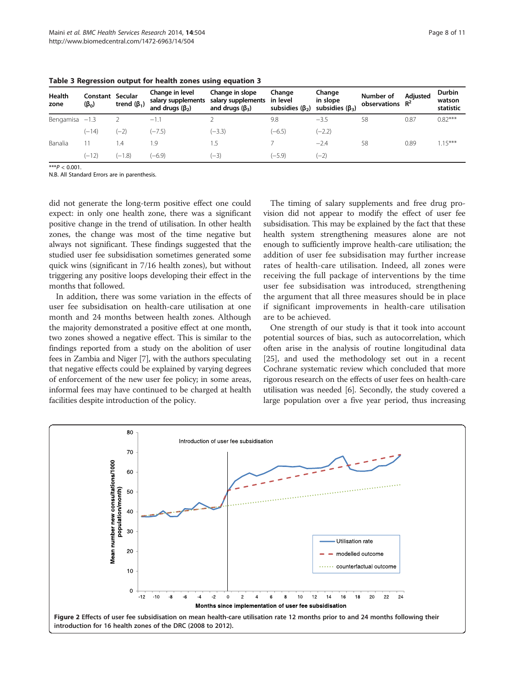| Health<br>zone   | Constant Secular<br>$(\beta_0)$ | trend $(\beta_1)$ | Change in level<br>salary supplements<br>and drugs $(\beta_2)$ | Change in slope<br>salary supplements in level<br>and drugs $(\beta_3)$ | Change<br>subsidies $(\beta_2)$ | Change<br>in slope<br>subsidies $(\beta_3)$ | Number of<br>observations $R^2$ | <b>Adiusted</b> | Durbin<br>watson<br>statistic |
|------------------|---------------------------------|-------------------|----------------------------------------------------------------|-------------------------------------------------------------------------|---------------------------------|---------------------------------------------|---------------------------------|-----------------|-------------------------------|
| Bengamisa $-1.3$ |                                 |                   | $-1.1$                                                         |                                                                         | 9.8                             | $-3.5$                                      | 58                              | 0.87            | $0.82***$                     |
|                  | $(-14)$                         | $(-2)$            | $(-7.5)$                                                       | $(-3.3)$                                                                | $(-6.5)$                        | $(-2.2)$                                    |                                 |                 |                               |
| Banalia          |                                 | 1.4               | l.9                                                            | .5                                                                      |                                 | $-2.4$                                      | 58                              | 0.89            | $1.15***$                     |
|                  | $(-12)$                         | $(-1.8)$          | $(-6.9)$                                                       | $(-3)$                                                                  | $(-5.9)$                        | $(-2)$                                      |                                 |                 |                               |

<span id="page-7-0"></span>Table 3 Regression output for health zones using equation [3](#page-4-0)

 $***P < 0.001$ .

N.B. All Standard Errors are in parenthesis.

did not generate the long-term positive effect one could expect: in only one health zone, there was a significant positive change in the trend of utilisation. In other health zones, the change was most of the time negative but always not significant. These findings suggested that the studied user fee subsidisation sometimes generated some quick wins (significant in 7/16 health zones), but without triggering any positive loops developing their effect in the months that followed.

In addition, there was some variation in the effects of user fee subsidisation on health-care utilisation at one month and 24 months between health zones. Although the majority demonstrated a positive effect at one month, two zones showed a negative effect. This is similar to the findings reported from a study on the abolition of user fees in Zambia and Niger [\[7\]](#page-9-0), with the authors speculating that negative effects could be explained by varying degrees of enforcement of the new user fee policy; in some areas, informal fees may have continued to be charged at health facilities despite introduction of the policy.

The timing of salary supplements and free drug provision did not appear to modify the effect of user fee subsidisation. This may be explained by the fact that these health system strengthening measures alone are not enough to sufficiently improve health-care utilisation; the addition of user fee subsidisation may further increase rates of health-care utilisation. Indeed, all zones were receiving the full package of interventions by the time user fee subsidisation was introduced, strengthening the argument that all three measures should be in place if significant improvements in health-care utilisation are to be achieved.

One strength of our study is that it took into account potential sources of bias, such as autocorrelation, which often arise in the analysis of routine longitudinal data [[25\]](#page-10-0), and used the methodology set out in a recent Cochrane systematic review which concluded that more rigorous research on the effects of user fees on health-care utilisation was needed [\[6](#page-9-0)]. Secondly, the study covered a large population over a five year period, thus increasing

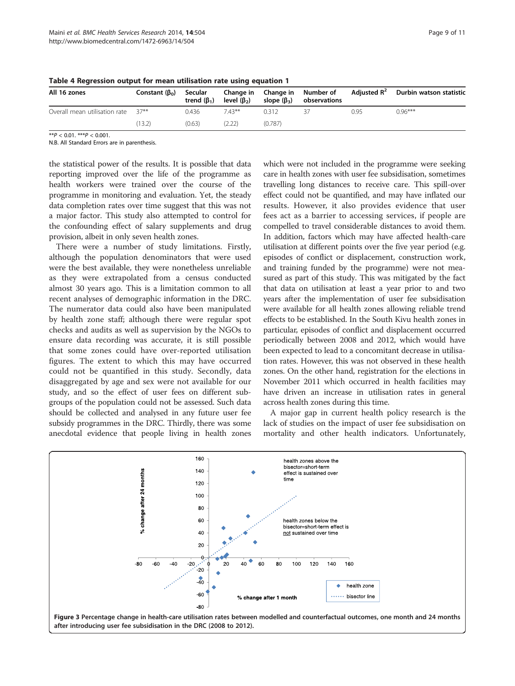| All 16 zones                       | Constant $(\beta_0)$ | <b>Secular</b><br>trend $(\beta_1)$ | Change in<br>level $(\beta_2)$ | Change in<br>slope $(\beta_2)$ | Number of<br>observations | Adjusted R <sup>2</sup> | Durbin watson statistic |  |
|------------------------------------|----------------------|-------------------------------------|--------------------------------|--------------------------------|---------------------------|-------------------------|-------------------------|--|
| Overall mean utilisation rate 37** |                      | 0.436                               | $743**$                        | 0.312                          |                           | 0.95                    | $0.96***$               |  |
|                                    | (13.2)               | (0.63)                              | 2.22)                          | (0.787)                        |                           |                         |                         |  |
|                                    |                      |                                     |                                |                                |                           |                         |                         |  |

<span id="page-8-0"></span>Table 4 Regression output for mean utilisation rate using equation [1](#page-3-0)

\*\* $P < 0.01$ . \*\*\* $P < 0.001$ .

N.B. All Standard Errors are in parenthesis.

the statistical power of the results. It is possible that data reporting improved over the life of the programme as health workers were trained over the course of the programme in monitoring and evaluation. Yet, the steady data completion rates over time suggest that this was not a major factor. This study also attempted to control for the confounding effect of salary supplements and drug provision, albeit in only seven health zones.

There were a number of study limitations. Firstly, although the population denominators that were used were the best available, they were nonetheless unreliable as they were extrapolated from a census conducted almost 30 years ago. This is a limitation common to all recent analyses of demographic information in the DRC. The numerator data could also have been manipulated by health zone staff; although there were regular spot checks and audits as well as supervision by the NGOs to ensure data recording was accurate, it is still possible that some zones could have over-reported utilisation figures. The extent to which this may have occurred could not be quantified in this study. Secondly, data disaggregated by age and sex were not available for our study, and so the effect of user fees on different subgroups of the population could not be assessed. Such data should be collected and analysed in any future user fee subsidy programmes in the DRC. Thirdly, there was some anecdotal evidence that people living in health zones which were not included in the programme were seeking care in health zones with user fee subsidisation, sometimes travelling long distances to receive care. This spill-over effect could not be quantified, and may have inflated our results. However, it also provides evidence that user fees act as a barrier to accessing services, if people are compelled to travel considerable distances to avoid them. In addition, factors which may have affected health-care utilisation at different points over the five year period (e.g. episodes of conflict or displacement, construction work, and training funded by the programme) were not measured as part of this study. This was mitigated by the fact that data on utilisation at least a year prior to and two years after the implementation of user fee subsidisation were available for all health zones allowing reliable trend effects to be established. In the South Kivu health zones in particular, episodes of conflict and displacement occurred periodically between 2008 and 2012, which would have been expected to lead to a concomitant decrease in utilisation rates. However, this was not observed in these health zones. On the other hand, registration for the elections in November 2011 which occurred in health facilities may have driven an increase in utilisation rates in general across health zones during this time.

A major gap in current health policy research is the lack of studies on the impact of user fee subsidisation on mortality and other health indicators. Unfortunately,

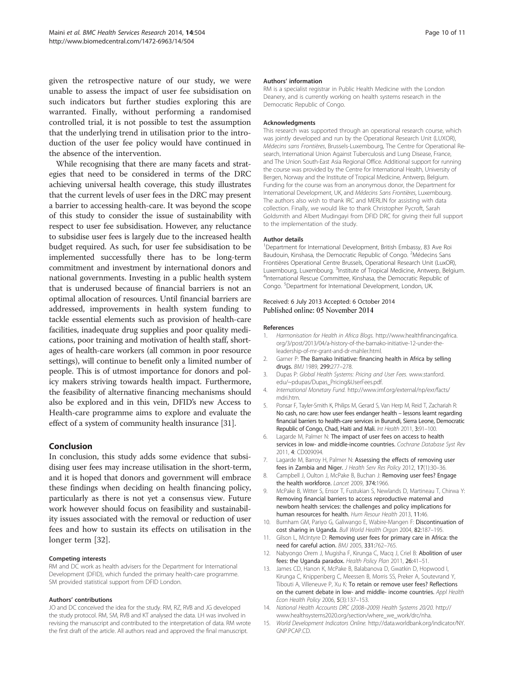<span id="page-9-0"></span>given the retrospective nature of our study, we were unable to assess the impact of user fee subsidisation on such indicators but further studies exploring this are warranted. Finally, without performing a randomised controlled trial, it is not possible to test the assumption that the underlying trend in utilisation prior to the introduction of the user fee policy would have continued in the absence of the intervention.

While recognising that there are many facets and strategies that need to be considered in terms of the DRC achieving universal health coverage, this study illustrates that the current levels of user fees in the DRC may present a barrier to accessing health-care. It was beyond the scope of this study to consider the issue of sustainability with respect to user fee subsidisation. However, any reluctance to subsidise user fees is largely due to the increased health budget required. As such, for user fee subsidisation to be implemented successfully there has to be long-term commitment and investment by international donors and national governments. Investing in a public health system that is underused because of financial barriers is not an optimal allocation of resources. Until financial barriers are addressed, improvements in health system funding to tackle essential elements such as provision of health-care facilities, inadequate drug supplies and poor quality medications, poor training and motivation of health staff, shortages of health-care workers (all common in poor resource settings), will continue to benefit only a limited number of people. This is of utmost importance for donors and policy makers striving towards health impact. Furthermore, the feasibility of alternative financing mechanisms should also be explored and in this vein, DFID's new Access to Health-care programme aims to explore and evaluate the effect of a system of community health insurance [\[31](#page-10-0)].

#### Conclusion

In conclusion, this study adds some evidence that subsidising user fees may increase utilisation in the short-term, and it is hoped that donors and government will embrace these findings when deciding on health financing policy, particularly as there is not yet a consensus view. Future work however should focus on feasibility and sustainability issues associated with the removal or reduction of user fees and how to sustain its effects on utilisation in the longer term [[32](#page-10-0)].

#### Competing interests

RM and DC work as health advisers for the Department for International Development (DFID), which funded the primary health-care programme. SM provided statistical support from DFID London.

#### Authors' contributions

JO and DC conceived the idea for the study. RM, RZ, RVB and JG developed the study protocol. RM, SM, RVB and KT analysed the data. LH was involved in revising the manuscript and contributed to the interpretation of data. RM wrote the first draft of the article. All authors read and approved the final manuscript.

#### Authors' information

RM is a specialist registrar in Public Health Medicine with the London Deanery, and is currently working on health systems research in the Democratic Republic of Congo.

#### Acknowledgments

This research was supported through an operational research course, which was jointly developed and run by the Operational Research Unit (LUXOR), Médecins sans Frontières, Brussels-Luxembourg, The Centre for Operational Research, International Union Against Tuberculosis and Lung Disease, France, and The Union South-East Asia Regional Office. Additional support for running the course was provided by the Centre for International Health, University of Bergen, Norway and the Institute of Tropical Medicine, Antwerp, Belgium. Funding for the course was from an anonymous donor, the Department for International Development, UK, and Médecins Sans Frontières, Luxembourg. The authors also wish to thank IRC and MERLIN for assisting with data collection. Finally, we would like to thank Christopher Pycroft, Sarah Goldsmith and Albert Mudingayi from DFID DRC for giving their full support to the implementation of the study.

#### Author details

<sup>1</sup>Department for International Development, British Embassy, 83 Ave Roi Baudouin, Kinshasa, the Democratic Republic of Congo. <sup>2</sup>Médecins Sans Frontières Operational Centre Brussels, Operational Research Unit (LuxOR), Luxembourg, Luxembourg. <sup>3</sup>Institute of Tropical Medicine, Antwerp, Belgium.<br><sup>4</sup>International Bescue Committee, Kinsbasa, the Democratic Benublic of <sup>4</sup>International Rescue Committee, Kinshasa, the Democratic Republic of Congo. <sup>5</sup>Department for International Development, London, UK

#### Received: 6 July 2013 Accepted: 6 October 2014 Published online: 05 November 2014

#### References

- 1. Harmonisation for Health in Africa Blogs. [http://www.healthfinancingafrica.](http://www.healthfinancingafrica.org/3/post/2013/04/a-history-of-the-bamako-initiative-12-under-the-leadership-of-mr-grant-and-dr-mahler.html) [org/3/post/2013/04/a-history-of-the-bamako-initiative-12-under-the](http://www.healthfinancingafrica.org/3/post/2013/04/a-history-of-the-bamako-initiative-12-under-the-leadership-of-mr-grant-and-dr-mahler.html)[leadership-of-mr-grant-and-dr-mahler.html.](http://www.healthfinancingafrica.org/3/post/2013/04/a-history-of-the-bamako-initiative-12-under-the-leadership-of-mr-grant-and-dr-mahler.html)
- 2. Garner P: The Bamako Initiative: financing health in Africa by selling drugs. BMJ 1989, 299:277–278.
- 3. Dupas P: Global Health Systems: Pricing and User Fees. [www.stanford.](http://www.stanford.edu/~pdupas/Dupas_Pricing&UserFees.pdf) [edu/~pdupas/Dupas\\_Pricing&UserFees.pdf.](http://www.stanford.edu/~pdupas/Dupas_Pricing&UserFees.pdf)
- 4. International Monetary Fund. [http://www.imf.org/external/np/exr/facts/](http://www.imf.org/external/np/exr/facts/mdri.htm) [mdri.htm.](http://www.imf.org/external/np/exr/facts/mdri.htm)
- 5. Ponsar F, Tayler-Smith K, Philips M, Gerard S, Van Herp M, Reid T, Zachariah R: No cash, no care: how user fees endanger health – lessons learnt regarding financial barriers to health-care services in Burundi, Sierra Leone, Democratic Republic of Congo, Chad, Haiti and Mali. Int Health 2011, 3:91–100.
- 6. Lagarde M, Palmer N: The impact of user fees on access to health services in low- and middle-income countries. Cochrane Database Syst Rev 2011, 4: CD009094.
- 7. Lagarde M, Barroy H, Palmer N: Assessing the effects of removing user fees in Zambia and Niger. J Health Serv Res Policy 2012, 17(1):30–36.
- 8. Campbell J, Oulton J, McPake B, Buchan J: Removing user fees? Engage the health workforce. Lancet 2009, 374:1966.
- 9. McPake B, Witter S, Ensor T, Fustukian S, Newlands D, Martineau T, Chirwa Y: Removing financial barriers to access reproductive maternal and newborn health services: the challenges and policy implications for human resources for health. Hum Resour Health 2013, 11:46.
- 10. Burnham GM, Pariyo G, Galiwango E, Wabire-Mangen F: Discontinuation of cost sharing in Uganda. Bull World Health Organ 2004, 82:187–195.
- 11. Gilson L, McIntyre D: Removing user fees for primary care in Africa: the need for careful action. BMJ 2005, 331:762–765.
- 12. Nabyongo Orem J, Mugisha F, Kirunga C, Macq J, Criel B: Abolition of user fees: the Uganda paradox. Health Policy Plan 2011, 26:41–51.
- 13. James CD, Hanon K, McPake B, Balabanova D, Gwatkin D, Hopwood I, Kirunga C, Knippenberg C, Meessen B, Morris SS, Preker A, Soutevrand Y, Tibouti A, Villeneuve P, Xu K: To retain or remove user fees? Reflections on the current debate in low- and middle- income countries. Appl Health Econ Health Policy 2006, 5(3):137–153.
- 14. National Health Accounts DRC (2008–2009) Health Systems 20/20. [http://](http://www.healthsystems2020.org/section/where_we_work/drc/nha) [www.healthsystems2020.org/section/where\\_we\\_work/drc/nha](http://www.healthsystems2020.org/section/where_we_work/drc/nha).
- 15. World Development Indicators Online. [http://data.worldbank.org/indicator/NY.](http://data.worldbank.org/indicator/NY.GNP.PCAP.CD) [GNP.PCAP.CD](http://data.worldbank.org/indicator/NY.GNP.PCAP.CD).